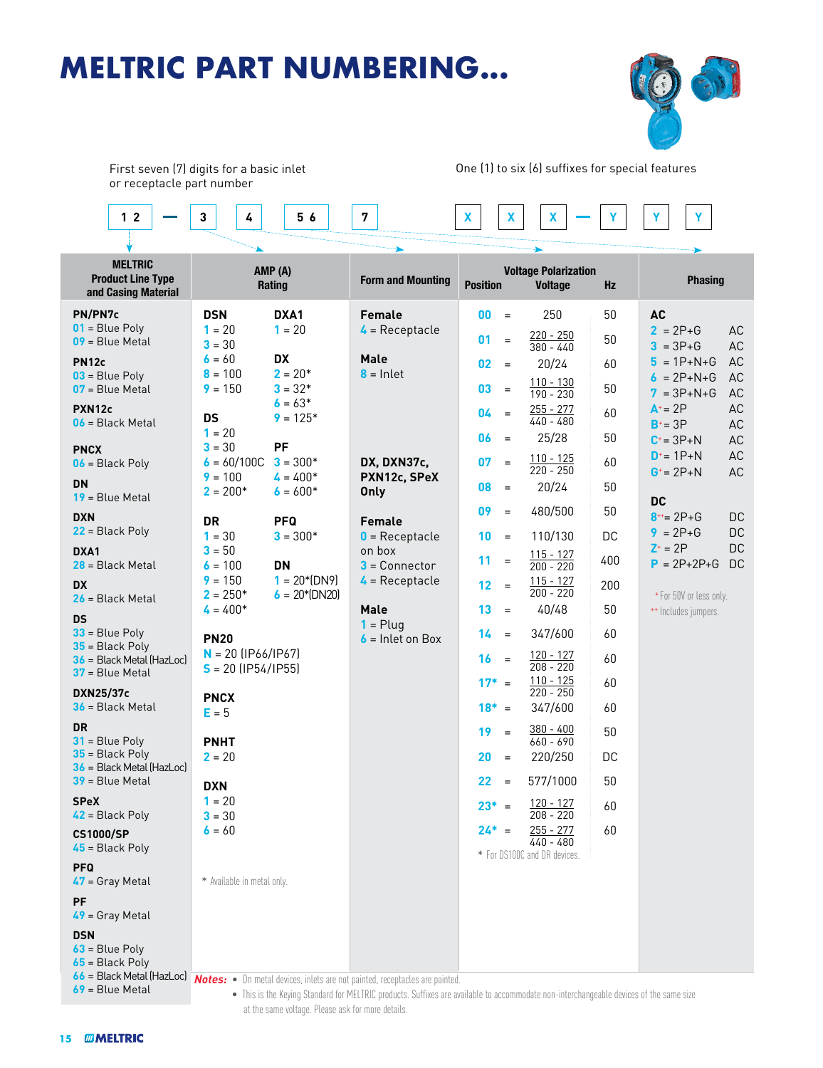## **MELTRIC PART NUMBERING...**



First seven (7) digits for a basic inlet or receptacle part number

One (1) to six (6) suffixes for special features

| 1 <sub>2</sub>                                                                                                                                                   | 3<br>4                                       | 56                                             | 7                                               | X                                                                | X<br>X                                      |           | Υ                                                        |                        |
|------------------------------------------------------------------------------------------------------------------------------------------------------------------|----------------------------------------------|------------------------------------------------|-------------------------------------------------|------------------------------------------------------------------|---------------------------------------------|-----------|----------------------------------------------------------|------------------------|
|                                                                                                                                                                  |                                              |                                                |                                                 |                                                                  |                                             |           |                                                          |                        |
| <b>MELTRIC</b><br><b>Product Line Type</b><br>and Casing Material                                                                                                | AMP (A)<br>Rating                            |                                                | <b>Form and Mounting</b>                        | <b>Voltage Polarization</b><br><b>Position</b><br><b>Voltage</b> |                                             | <b>Hz</b> | <b>Phasing</b>                                           |                        |
| PN/PN7c<br>$01$ = Blue Poly<br>$09$ = Blue Metal                                                                                                                 | <b>DSN</b><br>$1 = 20$<br>$3 = 30$           | DXA1<br>$1 = 20$                               | <b>Female</b><br>$\triangle$ = Receptacle       | $00\,$<br>$=$<br>01                                              | 250<br>$220 - 250$<br>$\equiv$<br>380 - 440 | 50<br>50  | <b>AC</b><br>$2 = 2P + G$<br>$3 = 3P + G$                | AC<br>AC               |
| <b>PN12c</b><br>$03$ = Blue Poly<br>$07$ = Blue Metal                                                                                                            | $6 = 60$<br>$8 = 100$<br>$9 = 150$           | <b>DX</b><br>$2 = 20*$<br>$3 = 32*$            | Male<br>$8 =$ Inlet                             | 02<br>$=$<br>03<br>$=$                                           | 20/24<br>$110 - 130$<br>190 - 230           | 60<br>50  | $5 = 1P + N + G$<br>$6 = 2P + N + G$<br>$7 = 3P + N + G$ | AC<br>AC<br><b>AC</b>  |
| PXN12c<br>$06$ = Black Metal                                                                                                                                     | <b>DS</b><br>$1 = 20$                        | $6 = 63*$<br>$9 = 125*$                        |                                                 | 04<br>$\equiv$<br>06<br>$=$                                      | $255 - 277$<br>$440 - 480$<br>25/28         | 60<br>50  | $A^+$ = 2P<br>$B^+ = 3P$                                 | AC<br>AC               |
| <b>PNCX</b><br>$06$ = Black Poly                                                                                                                                 | $3 = 30$<br>$6 = 60/100C$<br>$9 = 100$       | PF<br>$3 = 300*$<br>$4 = 400*$                 | DX, DXN37c,<br>PXN12c, SPeX                     | 07<br>$\equiv$                                                   | $110 - 125$<br>$220 - 250$                  | 60        | $C^* = 3P + N$<br>$D^* = 1P + N$<br>$G^* = 2P + N$       | AC<br>AC<br><b>AC</b>  |
| <b>DN</b><br>$19$ = Blue Metal<br><b>DXN</b>                                                                                                                     | $2 = 200*$<br>DR                             | $6 = 600*$<br><b>PFQ</b>                       | <b>Only</b><br><b>Female</b>                    | 08<br>$=$<br>09<br>$\equiv$                                      | 20/24<br>480/500                            | 50<br>50  | <b>DC</b><br>$8^{++}$ = 2P+G                             | DC                     |
| $22$ = Black Poly<br>DXA1                                                                                                                                        | $1 = 30$<br>$3 = 50$                         | $3 = 300*$                                     | $0$ = Receptacle<br>on box                      | 10<br>$=$<br>11<br>$=$                                           | 110/130<br>$115 - 127$                      | DC<br>400 | $9 = 2P + G$<br>$Z^* = 2P$                               | <b>DC</b><br><b>DC</b> |
| $28$ = Black Metal<br><b>DX</b><br>$26$ = Black Metal                                                                                                            | $6 = 100$<br>$9 = 150$<br>$2 = 250*$         | <b>DN</b><br>$1 = 20*(DN9)$<br>$6 = 20*(DN20)$ | $3 =$ Connector<br>$\frac{1}{4}$ = Receptacle   | 12<br>$=$                                                        | $200 - 220$<br>$115 - 127$<br>$200 - 220$   | 200       | $P = 2P + 2P + G$<br>*For 50V or less only.              | <b>DC</b>              |
| <b>DS</b><br>$33$ = Blue Poly                                                                                                                                    | $4 = 400*$<br><b>PN20</b>                    |                                                | <b>Male</b><br>$1 =$ Plug<br>$6$ = Inlet on Box | 13<br>$=$<br>14<br>$=$                                           | 40/48<br>347/600                            | 50<br>60  | ** Includes jumpers.                                     |                        |
| $35$ = Black Poly<br>$36$ = Black Metal (HazLoc)<br>37 = Blue Metal                                                                                              | $N = 20$ (IP66/IP67)<br>$S = 20$ (IP54/IP55) |                                                |                                                 | 16<br>$=$<br>$17^* =$                                            | $120 - 127$<br>$208 - 220$<br>$110 - 125$   | 60<br>60  |                                                          |                        |
| <b>DXN25/37c</b><br>$36$ = Black Metal<br><b>DR</b>                                                                                                              | <b>PNCX</b><br>$E = 5$                       |                                                |                                                 | $18^* =$                                                         | $220 - 250$<br>347/600                      | 60        |                                                          |                        |
| $31$ = Blue Poly<br>$35$ = Black Poly<br>$36$ = Black Metal (HazLoc)                                                                                             | <b>PNHT</b><br>$2 = 20$                      |                                                |                                                 | 19<br>$=$<br>20<br>$=$                                           | $380 - 400$<br>660 - 690<br>220/250         | 50<br>DC  |                                                          |                        |
| $39$ = Blue Metal<br><b>SPeX</b>                                                                                                                                 | <b>DXN</b><br>$1 = 20$                       |                                                |                                                 | 22<br>$\equiv$<br>$23^* =$                                       | 577/1000<br>120 - 127                       | 50<br>60  |                                                          |                        |
| $42$ = Black Poly<br><b>CS1000/SP</b><br>$45$ = Black Poly                                                                                                       | $3 = 30$<br>$6 = 60$                         |                                                |                                                 | $24^* =$                                                         | 208 - 220<br>255 - 277<br>440 - 480         | 60        |                                                          |                        |
| <b>PFQ</b><br>$47$ = Gray Metal                                                                                                                                  | * Available in metal only.                   |                                                |                                                 |                                                                  | * For DS100C and DR devices.                |           |                                                          |                        |
| <b>PF</b><br>$49$ = Gray Metal                                                                                                                                   |                                              |                                                |                                                 |                                                                  |                                             |           |                                                          |                        |
| <b>DSN</b><br>$63$ = Blue Poly<br>$65$ = Black Poly<br>66 = Black Metal (HazLoc) <i>Notes:</i> • On metal devices inlets are not nainted receptacles are nainted |                                              |                                                |                                                 |                                                                  |                                             |           |                                                          |                        |

**69** = Blue Metal

*Notes:* • On metal devices, inlets are not painted, receptacles are painted.

 • This is the Keying Standard for MELTRIC products. Suffixes are available to accommodate non-interchangeable devices of the same size at the same voltage. Please ask for more details.